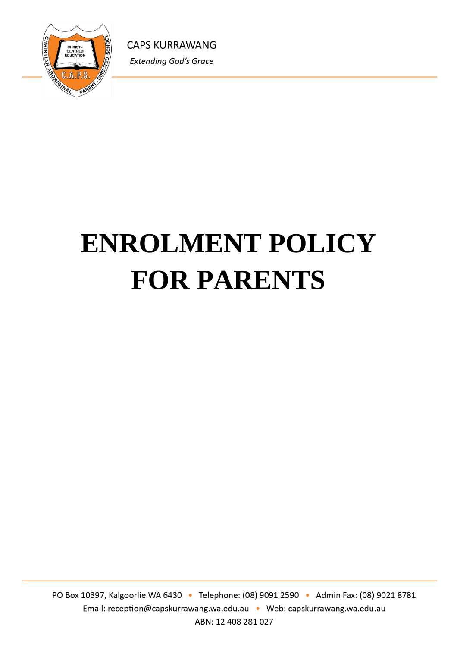

# **ENROLMENT POLICY FOR PARENTS**

PO Box 10397, Kalgoorlie WA 6430 · Telephone: (08) 9091 2590 · Admin Fax: (08) 9021 8781 Email: reception@capskurrawang.wa.edu.au • Web: capskurrawang.wa.edu.au ABN: 12 408 281 027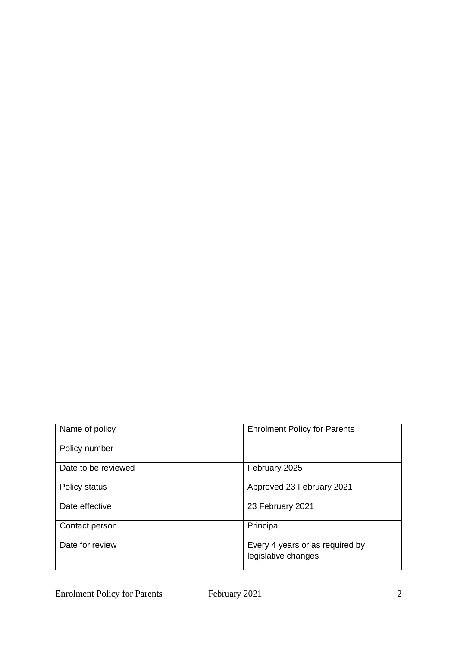| Name of policy      | <b>Enrolment Policy for Parents</b>                    |
|---------------------|--------------------------------------------------------|
| Policy number       |                                                        |
| Date to be reviewed | February 2025                                          |
| Policy status       | Approved 23 February 2021                              |
| Date effective      | 23 February 2021                                       |
| Contact person      | Principal                                              |
| Date for review     | Every 4 years or as required by<br>legislative changes |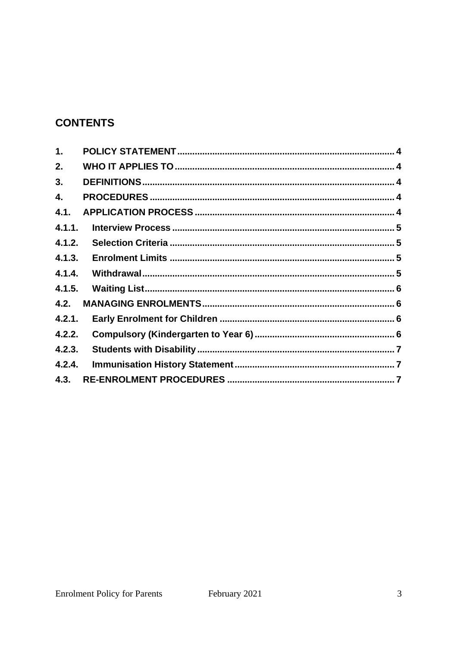# **CONTENTS**

| 1.     |  |
|--------|--|
| 2.     |  |
| 3.     |  |
| 4.     |  |
| 4.1.   |  |
| 4.1.1. |  |
| 4.1.2. |  |
| 4.1.3. |  |
| 4.1.4. |  |
| 4.1.5. |  |
| 4.2.   |  |
| 4.2.1. |  |
| 4.2.2. |  |
| 4.2.3. |  |
| 4.2.4. |  |
| 4.3.   |  |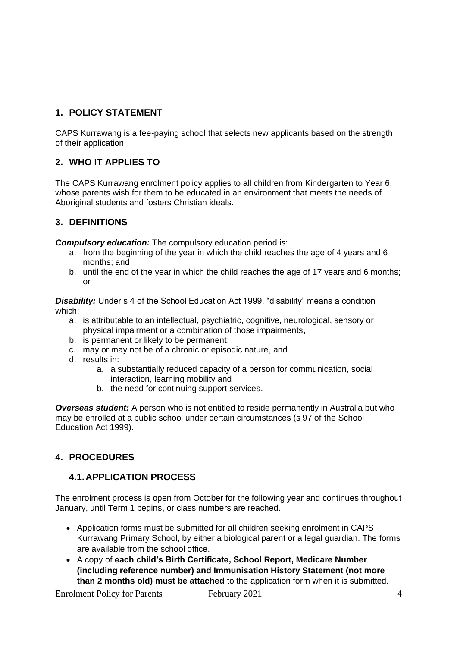# **1. POLICY STATEMENT**

CAPS Kurrawang is a fee-paying school that selects new applicants based on the strength of their application.

# **2. WHO IT APPLIES TO**

The CAPS Kurrawang enrolment policy applies to all children from Kindergarten to Year 6, whose parents wish for them to be educated in an environment that meets the needs of Aboriginal students and fosters Christian ideals.

#### **3. DEFINITIONS**

*Compulsory education:* The compulsory education period is:

- a. from the beginning of the year in which the child reaches the age of 4 years and 6 months; and
- b. until the end of the year in which the child reaches the age of 17 years and 6 months; or

*Disability:* Under s 4 of the School Education Act 1999, "disability" means a condition which:

- a. is attributable to an intellectual, psychiatric, cognitive, neurological, sensory or physical impairment or a combination of those impairments,
- b. is permanent or likely to be permanent,
- c. may or may not be of a chronic or episodic nature, and
- d. results in:
	- a. a substantially reduced capacity of a person for communication, social interaction, learning mobility and
	- b. the need for continuing support services.

*Overseas student:* A person who is not entitled to reside permanently in Australia but who may be enrolled at a public school under certain circumstances (s 97 of the School Education Act 1999).

#### **4. PROCEDURES**

#### **4.1.APPLICATION PROCESS**

The enrolment process is open from October for the following year and continues throughout January, until Term 1 begins, or class numbers are reached.

- Application forms must be submitted for all children seeking enrolment in CAPS Kurrawang Primary School, by either a biological parent or a legal guardian. The forms are available from the school office.
- A copy of **each child's Birth Certificate, School Report, Medicare Number (including reference number) and Immunisation History Statement (not more than 2 months old) must be attached** to the application form when it is submitted.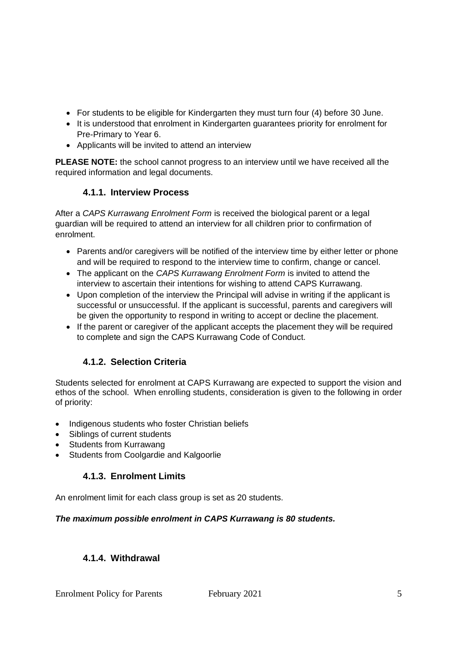- For students to be eligible for Kindergarten they must turn four (4) before 30 June.
- It is understood that enrolment in Kindergarten guarantees priority for enrolment for Pre-Primary to Year 6.
- Applicants will be invited to attend an interview

**PLEASE NOTE:** the school cannot progress to an interview until we have received all the required information and legal documents.

# **4.1.1. Interview Process**

After a *CAPS Kurrawang Enrolment Form* is received the biological parent or a legal guardian will be required to attend an interview for all children prior to confirmation of enrolment.

- Parents and/or caregivers will be notified of the interview time by either letter or phone and will be required to respond to the interview time to confirm, change or cancel.
- The applicant on the *CAPS Kurrawang Enrolment Form* is invited to attend the interview to ascertain their intentions for wishing to attend CAPS Kurrawang.
- Upon completion of the interview the Principal will advise in writing if the applicant is successful or unsuccessful. If the applicant is successful, parents and caregivers will be given the opportunity to respond in writing to accept or decline the placement.
- If the parent or caregiver of the applicant accepts the placement they will be required to complete and sign the CAPS Kurrawang Code of Conduct.

# **4.1.2. Selection Criteria**

Students selected for enrolment at CAPS Kurrawang are expected to support the vision and ethos of the school. When enrolling students, consideration is given to the following in order of priority:

- Indigenous students who foster Christian beliefs
- Siblings of current students
- Students from Kurrawang
- Students from Coolgardie and Kalgoorlie

#### **4.1.3. Enrolment Limits**

An enrolment limit for each class group is set as 20 students.

#### *The maximum possible enrolment in CAPS Kurrawang is 80 students.*

#### **4.1.4. Withdrawal**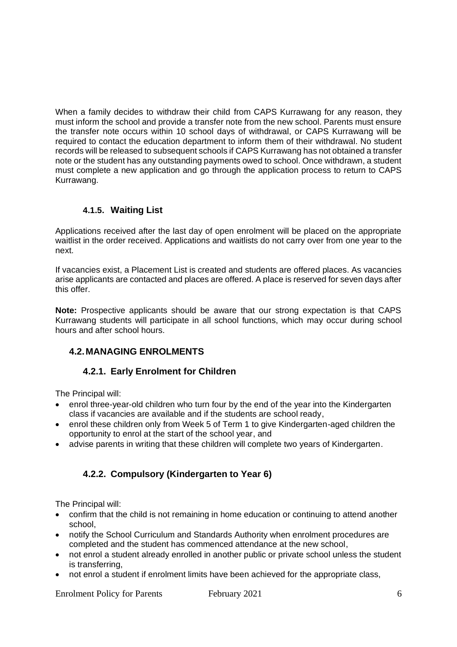When a family decides to withdraw their child from CAPS Kurrawang for any reason, they must inform the school and provide a transfer note from the new school. Parents must ensure the transfer note occurs within 10 school days of withdrawal, or CAPS Kurrawang will be required to contact the education department to inform them of their withdrawal. No student records will be released to subsequent schools if CAPS Kurrawang has not obtained a transfer note or the student has any outstanding payments owed to school. Once withdrawn, a student must complete a new application and go through the application process to return to CAPS Kurrawang.

## **4.1.5. Waiting List**

Applications received after the last day of open enrolment will be placed on the appropriate waitlist in the order received. Applications and waitlists do not carry over from one year to the next.

If vacancies exist, a Placement List is created and students are offered places. As vacancies arise applicants are contacted and places are offered. A place is reserved for seven days after this offer.

**Note:** Prospective applicants should be aware that our strong expectation is that CAPS Kurrawang students will participate in all school functions, which may occur during school hours and after school hours.

# **4.2.MANAGING ENROLMENTS**

#### **4.2.1. Early Enrolment for Children**

The Principal will:

- enrol three-year-old children who turn four by the end of the year into the Kindergarten class if vacancies are available and if the students are school ready,
- enrol these children only from Week 5 of Term 1 to give Kindergarten-aged children the opportunity to enrol at the start of the school year, and
- advise parents in writing that these children will complete two years of Kindergarten.

# **4.2.2. Compulsory (Kindergarten to Year 6)**

The Principal will:

- confirm that the child is not remaining in home education or continuing to attend another school,
- notify the School Curriculum and Standards Authority when enrolment procedures are completed and the student has commenced attendance at the new school,
- not enrol a student already enrolled in another public or private school unless the student is transferring,
- not enrol a student if enrolment limits have been achieved for the appropriate class,

Enrolment Policy for Parents February 2021 6